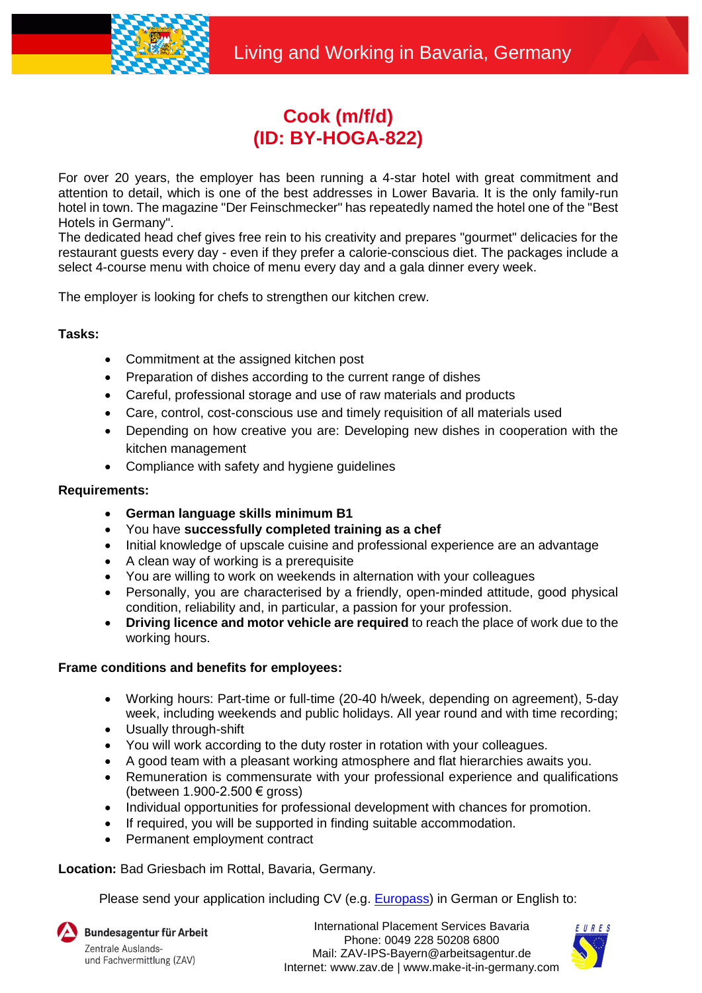

## **Cook (m/f/d) (ID: BY-HOGA-822)**

For over 20 years, the employer has been running a 4-star hotel with great commitment and attention to detail, which is one of the best addresses in Lower Bavaria. It is the only family-run hotel in town. The magazine "Der Feinschmecker" has repeatedly named the hotel one of the "Best Hotels in Germany".

The dedicated head chef gives free rein to his creativity and prepares "gourmet" delicacies for the restaurant guests every day - even if they prefer a calorie-conscious diet. The packages include a select 4-course menu with choice of menu every day and a gala dinner every week.

The employer is looking for chefs to strengthen our kitchen crew.

## **Tasks:**

- Commitment at the assigned kitchen post
- Preparation of dishes according to the current range of dishes
- Careful, professional storage and use of raw materials and products
- Care, control, cost-conscious use and timely requisition of all materials used
- Depending on how creative you are: Developing new dishes in cooperation with the kitchen management
- Compliance with safety and hygiene guidelines

## **Requirements:**

- **German language skills minimum B1**
- You have **successfully completed training as a chef**
- Initial knowledge of upscale cuisine and professional experience are an advantage
- A clean way of working is a prerequisite
- You are willing to work on weekends in alternation with your colleagues
- Personally, you are characterised by a friendly, open-minded attitude, good physical condition, reliability and, in particular, a passion for your profession.
- **Driving licence and motor vehicle are required** to reach the place of work due to the working hours.

## **Frame conditions and benefits for employees:**

- Working hours: Part-time or full-time (20-40 h/week, depending on agreement), 5-day week, including weekends and public holidays. All year round and with time recording;
- Usually through-shift
- You will work according to the duty roster in rotation with your colleagues.
- A good team with a pleasant working atmosphere and flat hierarchies awaits you.
- Remuneration is commensurate with your professional experience and qualifications (between 1.900-2.500 € gross)
- Individual opportunities for professional development with chances for promotion.
- If required, you will be supported in finding suitable accommodation.
- Permanent employment contract

**Location:** Bad Griesbach im Rottal, Bavaria, Germany.

Please send your application including CV (e.g. **Europass**) in German or English to:

Bundesagentur für Arbeit Zentrale Auslandsund Fachvermittlung (ZAV)

International Placement Services Bavaria Phone: 0049 228 50208 6800 Mail: ZAV-IPS-Bayern@arbeitsagentur.de Internet: www.zav.de | www.make-it-in-germany.com